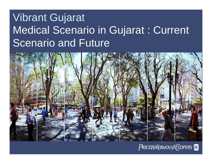# Vibrant Gujarat Medical Scenario in Gujarat : Current Scenario and Future



#### PRICEWATERHOUSE COPERS Re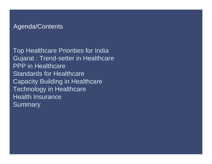#### Agenda/Contents

Top Healthcare Priorities for India Gujarat : Trend-setter in Healthcare PPP in Healthcare Standards for Healthcare **Capacity Building in Healthcare** Technology in Healthcare Health Insurance **Summary**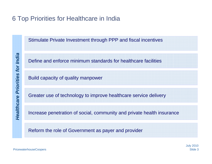# 6 Top Priorities for Healthcare in India

Stimulate Private Investment through PPP and fiscal incentives

Define and enforce minimum standards for healthcare facilities**Healthcare Prior**<br> *Healthcare Build capacity of quality manpower*<br> **Healthcare Priority Servestian**<br> **Healthcare Priority Servestian**<br> **Healthcare Priority increase penetration of social, com**<br> **Healthcare Priority incre** 

Greater use of technology to improve healthcare service delivery

Increase penetration of social, community and private health insurance

Reform the role of Government as payer and provider

PricewaterhouseCoopers Slide 3

July 2010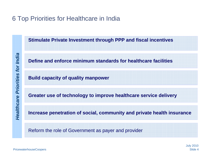# 6 Top Priorities for Healthcare in India

**Stimulate Private Investment through PPP and fiscal incentives**

**Define and enforce minimum standards for healthcare facilitiesHealthcare Prioring Define and enforce minimum stands<br>**  $\frac{1}{2}$ **<br>
<b>Build capacity of quality manpower**<br>  $\frac{1}{2}$ <br> **Build capacity of quality manpower**<br> **Creater use of technology to improroring**<br> **Property**<br> **Creater use** 

**Greater use of technology to improve healthcare service delivery**

**Increase penetration of social, community and private health insurance**

Reform the role of Government as payer and provider

PricewaterhouseCoopers Slide 4

July 2010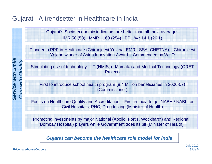# Gujarat : A trendsetter in Healthcare in India

Gujarat's Socio-economic indicators are better than all-India averages IMR 50 (53) ; MMR : 160 (254) ; BPL % : 14.1 (26.1)

Pioneer in PPP in Healthcare (Chiranjeevi Yojana, EMRI, SSA, CHETNA) – Chiranjeevi Yojana winner of Asian Innovation Award ; Commended by WHO

Stimulating use of technology – IT (HMIS, e-Mamata) and Medical Technology (ORET<br>
Project)<br>
First to introduce school health program (8.4 Million beneficiaries in 2006-07)<br>
Commissioner)

First to introduce school health program (8.4 Million beneficiaries in 2006-07) (Commissioner)

Focus on Healthcare Quality and Accreditation – First in India to get NABH / NABL for Civil Hospitals, PHC, Drug testing (Minister of Health)

Promoting investments by major National (Apollo, Fortis, Wockhardt) and Regional (Bombay Hospital) players while Government does its bit (Minister of Health)

*Gujarat can become the healthcare role model for India*

*Service with Smile*

Service with Smile

PricewaterhouseCoopers Slide 5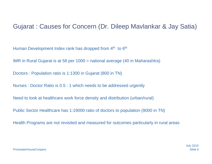## Gujarat : Causes for Concern (Dr. Dileep Mavlankar & Jay Satia)

Human Development Index rank has dropped from 4<sup>th</sup> to 6<sup>th</sup>

IMR in Rural Gujarat is at 58 per 1000 = national average (40 in Maharashtra)

Doctors : Population ratio is 1:1300 in Gujarat (800 in TN)

Nurses : Doctor Ratio is 0.5 : 1 which needs to be addressed urgently

Need to look at healthcare work force density and distribution (urban/rural)

Public Sector Healthcare has 1:19000 ratio of doctors to population (9000 in TN)

Health Programs are not revisited and measured for outcomes particularly in rural areas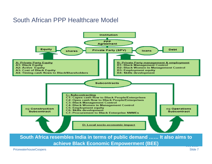## South African PPP Healthcare Model

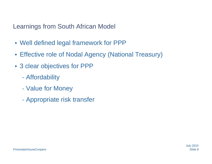Learnings from South African Model

- Well defined legal framework for PPP
- Effective role of Nodal Agency (National Treasury)
- 3 clear objectives for PPP
	- Affordability
	- $\mathcal{L}_{\mathcal{A}}$ Value for Money
	- $\mathcal{L}_{\mathcal{A}}$ Appropriate risk transfer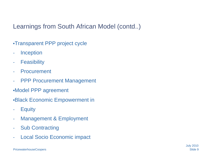Learnings from South African Model (contd..)

- •Transparent PPP project cycle
- -**Inception**
- -**Feasibility**
- -Procurement
- -PPP Procurement Management
- •Model PPP agreement
- •Black Economic Empowerment in
- -**Equity**
- -Management & Employment
- -Sub Contracting
- -Local Socio Economic impact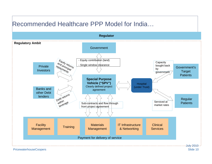# Recommended Healthcare PPP Model for India…

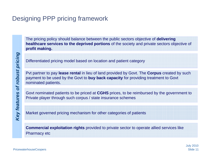# Designing PPP pricing framework

The pricing policy should balance between the public sectors objective of **delivering healthcare services to the deprived portions** of the society and private sectors objective of **profit making.**

Differentiated pricing model based on location and patient category

Differentiated pricing model based on location and patient category<br>
Put partner to pay lease rental in lieu of land provided by Govt. The Corpus created by such<br>
payment to be used by the Govt to buy back capacity for pro

Govt nominated patients to be priced at **CGHS** prices, to be reimbursed by the government to Private player through such corpus / state insurance schemes

Market governed pricing mechanism for other categories of patients

**Commercial exploitation rights** provided to private sector to operate allied services like Pharmacy etc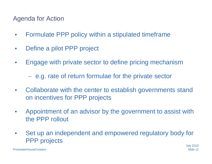Agenda for Action

- $\bullet$ Formulate PPP policy within a stipulated timeframe
- $\bullet$ Define a pilot PPP project
- $\bullet$ Engage with private sector to define pricing mechanism

- e.g. rate of return formulae for the private sector

- $\bullet$  Collaborate with the center to establish governments stand on incentives for PPP projects
- $\bullet$  Appointment of an advisor by the government to assist with the PPP rollout
- $\bullet$  Set up an independent and empowered regulatory body for PPP projects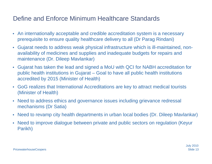# Define and Enforce Minimum Healthcare Standards

- An internationally acceptable and credible accreditation system is a necessary prerequisite to ensure quality healthcare delivery to all (Dr Parag Rindani)
- $\bullet$  Gujarat needs to address weak physical infrastructure which is ill-maintained, nonavailability of medicines and supplies and inadequate budgets for repairs and maintenance (Dr. Dileep Mavlankar)
- $\bullet$  Gujarat has taken the lead and signed a MoU with QCI for NABH accreditation for public health institutions in Gujarat – Goal to have all public health institutions accredited by 2015 (Minister of Health)
- GoG realizes that International Accreditations are key to attract medical tourists (Minister of Health)
- Need to address ethics and governance issues including grievance redressal mechanisms (Dr Satia)
- Need to revamp city health departments in urban local bodies (Dr. Dileep Mavlankar)
- $\bullet$  Need to improve dialogue between private and public sectors on regulation (Keyur Parikh)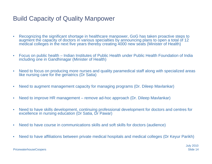# Build Capacity of Quality Manpower

- • Recognizing the significant shortage in healthcare manpower, GoG has taken proactive steps to augment the capacity of doctors in various specialties by announcing plans to open a total of 12 medical colleges in the next five years thereby creating 4000 new seats (Minister of Health)
- $\bullet$  Focus on public health – Indian Institutes of Public Health under Public Health Foundation of India including one in Gandhinagar (Minister of Health)
- • Need to focus on producing more nurses and quality paramedical staff along with specialized areas like nursing care for the geriatrics (Dr Satia)
- $\bullet$ Need to augment management capacity for managing programs (Dr. Dileep Mavlankar)
- $\bullet$ Need to improve HR management – remove ad-hoc approach (Dr. Dileep Mavlankar)
- • Need to have skills development, continuing professional development for doctors and centres for excellence in nursing education (Dr Satia, Dr Pawar)
- $\bullet$ Need to have course in communications skills and soft skills for doctors (audience)
- •Need to have affiliations between private medical hospitals and medical colleges (Dr Keyur Parikh)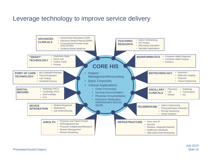## Leverage technology to improve service delivery

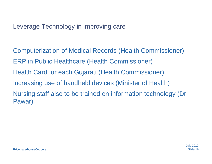## Leverage Technology in improving care

Computerization of Medical Records (Health Commissioner) ERP in Public Healthcare (Health Commissioner) Health Card for each Gujarati (Health Commissioner) Increasing use of handheld devices (Minister of Health) Nursing staff also to be trained on information technology (Dr Pawar)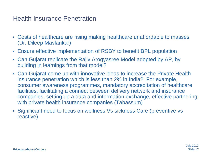## Health Insurance Penetration

- Costs of healthcare are rising making healthcare unaffordable to masses (Dr. Dileep Mavlankar)
- $\bullet$ Ensure effective implementation of RSBY to benefit BPL population
- • Can Gujarat replicate the Rajiv Arogyasree Model adopted by AP, by building in learnings from that model?
- Can Gujarat come up with innovative ideas to increase the Private Health insurance penetration which is less than 2% in India? For example, consumer awareness programmes, mandatory accreditation of healthcare facilities, facilitating a connect between delivery network and insurance companies, setting up a data and information exchange, effective partnering with private health insurance companies (Tabassum)
- $\bullet$  Significant need to focus on wellness Vs sickness Care (preventive vs reactive)